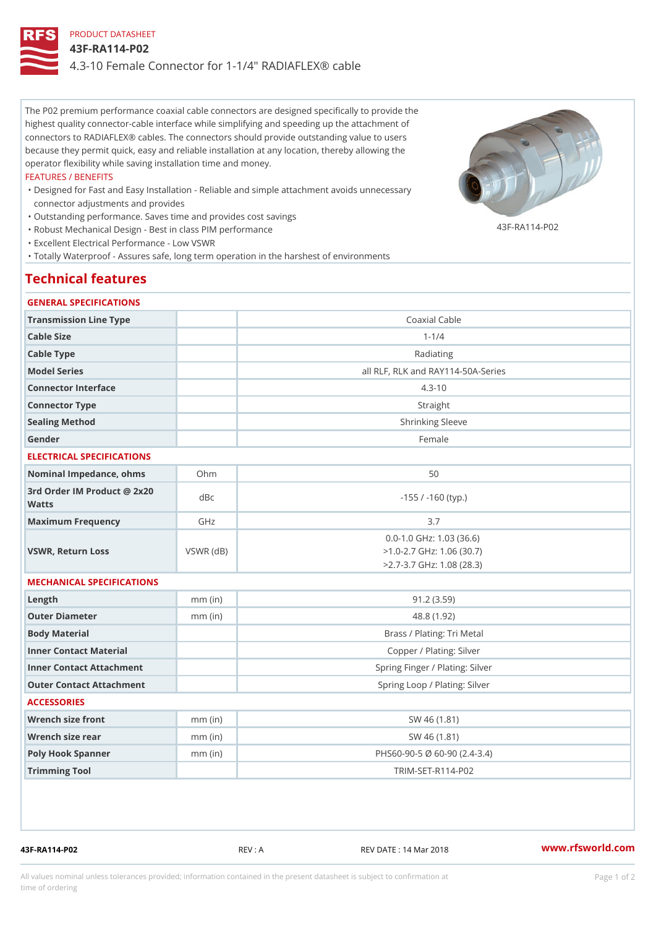# PRODUCT DATASHEET 43F-RA114-P02 4.3-10 Female Connector for 1-1/4" RADIAFLEX® cable

The P02 premium performance coaxial cable connectors are designed specifically to provide the highest quality connector-cable interface while simplifying and speeding up the attachment of connectors to RADIAFLEX® cables. The connectors should provide outstanding value to users because they permit quick, easy and reliable installation at any location, thereby allowing the operator flexibility while saving installation time and money.

#### FEATURES / BENEFITS

- Designed for Fast and Easy Installation Reliable and simple attachment avoids unnecessary " connector adjustments and provides
- "Outstanding performance. Saves time and provides cost savings
- "Robust Mechanical Design Best in class PIM performance
- "Excellent Electrical Performance Low VSWR
- "Totally Waterproof Assures safe, long term operation in the harshest of environments

## Technical features

#### GENERAL SPECIFICATIONS

| Transmission Line Type                      |                 | Coaxial Cable                                                                                     |  |
|---------------------------------------------|-----------------|---------------------------------------------------------------------------------------------------|--|
| Cable Size                                  |                 | $1 - 1/4$                                                                                         |  |
| Cable Type                                  |                 | Radiating                                                                                         |  |
| Model Series                                |                 | all RLF, RLK and RAY114-50A-Series                                                                |  |
| Connector Interface                         |                 | $4.3 - 10$                                                                                        |  |
| Connector Type                              |                 | Straight                                                                                          |  |
| Sealing Method                              |                 | Shrinking Sleeve                                                                                  |  |
| Gender                                      |                 | Female                                                                                            |  |
| ELECTRICAL SPECIFICATIONS                   |                 |                                                                                                   |  |
| Nominal Impedance, ohins Ohm                |                 | 50                                                                                                |  |
| 3rd Order IM Product @ 2x20<br>dBc<br>Watts |                 | $-155$ / $-160$ (typ.)                                                                            |  |
| Maximum Frequency                           | GHz             | 3.7                                                                                               |  |
| VSWR, Return Loss                           | $VSWR$ ( $dB$ ) | $0.0 - 1.0$ GHz: $1.03$ (36.6)<br>$>1.0 - 2.7$ GHz: 1.06 (30.7)<br>$> 2.7 - 3.7$ GHz: 1.08 (28.3) |  |
| MECHANICAL SPECIFICATIONS                   |                 |                                                                                                   |  |
| $L$ ength                                   | $mm$ (in)       | 91.2(3.59)                                                                                        |  |
| Outer Diameter                              | $mm$ (in)       | 48.8 (1.92)                                                                                       |  |
| Body Material                               |                 | Brass / Plating: Tri Metal                                                                        |  |
| Inner Contact Material                      |                 | Copper / Plating: Silver                                                                          |  |
| Inner Contact Attachment                    |                 | Spring Finger / Plating: Silver                                                                   |  |
| Outer Contact Attachment                    |                 | Spring Loop / Plating: Silver                                                                     |  |
| <b>ACCESSORIES</b>                          |                 |                                                                                                   |  |
| Wrench size front                           | $mm$ (in        | SW 46 (1.81)                                                                                      |  |
| Wrench size rear                            | $mm$ (in)       | SW 46 (1.81)                                                                                      |  |
| Poly Hook Spanner                           | $mm$ (in)       | PHS60-90-5 Ø 60-90 (2.4-3.4)                                                                      |  |
| Trimming Tool                               |                 | TRIM-SET-R114-P02                                                                                 |  |
|                                             |                 |                                                                                                   |  |

43F-RA114-P02 REV : A REV DATE : 14 Mar 2018 [www.](https://www.rfsworld.com)rfsworld.com

43F-RA114-P02